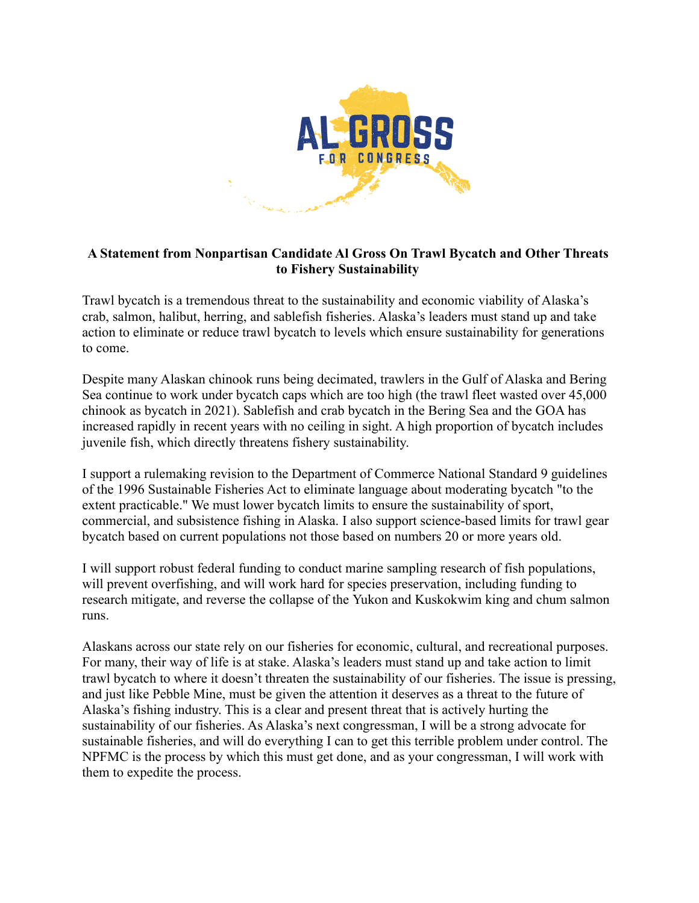

## **A Statement from Nonpartisan Candidate Al Gross On Trawl Bycatch and Other Threats to Fishery Sustainability**

Trawl bycatch is a tremendous threat to the sustainability and economic viability of Alaska's crab, salmon, halibut, herring, and sablefish fisheries. Alaska's leaders must stand up and take action to eliminate or reduce trawl bycatch to levels which ensure sustainability for generations to come.

Despite many Alaskan chinook runs being decimated, trawlers in the Gulf of Alaska and Bering Sea continue to work under bycatch caps which are too high (the trawl fleet wasted over 45,000 chinook as bycatch in 2021). Sablefish and crab bycatch in the Bering Sea and the GOA has increased rapidly in recent years with no ceiling in sight. A high proportion of bycatch includes juvenile fish, which directly threatens fishery sustainability.

I support a rulemaking revision to the Department of Commerce National Standard 9 guidelines of the 1996 Sustainable Fisheries Act to eliminate language about moderating bycatch "to the extent practicable." We must lower bycatch limits to ensure the sustainability of sport, commercial, and subsistence fishing in Alaska. I also support science-based limits for trawl gear bycatch based on current populations not those based on numbers 20 or more years old.

I will support robust federal funding to conduct marine sampling research of fish populations, will prevent overfishing, and will work hard for species preservation, including funding to research mitigate, and reverse the collapse of the Yukon and Kuskokwim king and chum salmon runs.

Alaskans across our state rely on our fisheries for economic, cultural, and recreational purposes. For many, their way of life is at stake. Alaska's leaders must stand up and take action to limit trawl bycatch to where it doesn't threaten the sustainability of our fisheries. The issue is pressing, and just like Pebble Mine, must be given the attention it deserves as a threat to the future of Alaska's fishing industry. This is a clear and present threat that is actively hurting the sustainability of our fisheries. As Alaska's next congressman, I will be a strong advocate for sustainable fisheries, and will do everything I can to get this terrible problem under control. The NPFMC is the process by which this must get done, and as your congressman, I will work with them to expedite the process.